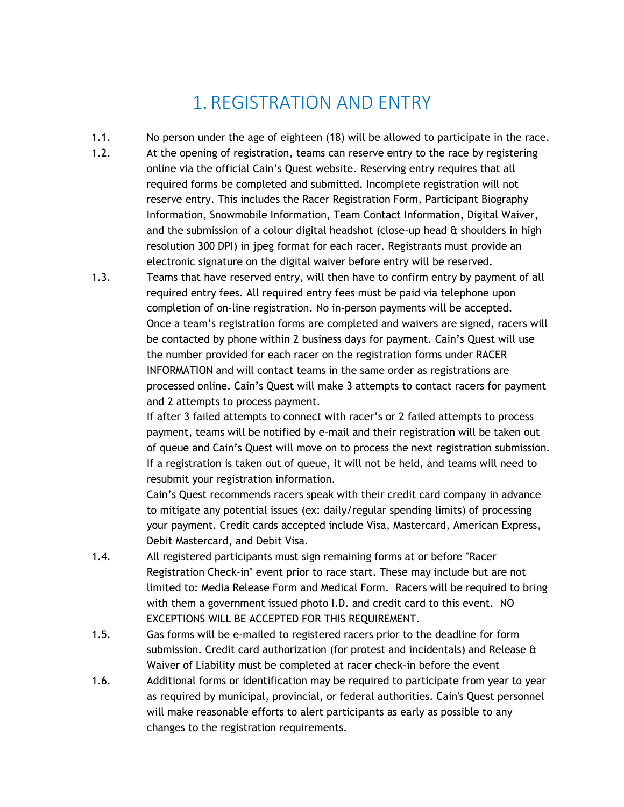## 1. REGISTRATION AND ENTRY

- 1.1. No person under the age of eighteen (18) will be allowed to participate in the race.
- 1.2. At the opening of registration, teams can reserve entry to the race by registering online via the official Cain's Quest website. Reserving entry requires that all required forms be completed and submitted. Incomplete registration will not reserve entry. This includes the Racer Registration Form, Participant Biography Information, Snowmobile Information, Team Contact Information, Digital Waiver, and the submission of a colour digital headshot (close-up head  $\hat{a}$  shoulders in high resolution 300 DPI) in jpeg format for each racer. Registrants must provide an electronic signature on the digital waiver before entry will be reserved.
- 1.3. Teams that have reserved entry, will then have to confirm entry by payment of all required entry fees. All required entry fees must be paid via telephone upon completion of on-line registration. No in-person payments will be accepted. Once a team's registration forms are completed and waivers are signed, racers will be contacted by phone within 2 business days for payment. Cain's Quest will use the number provided for each racer on the registration forms under RACER INFORMATION and will contact teams in the same order as registrations are processed online. Cain's Quest will make 3 attempts to contact racers for payment and 2 attempts to process payment.

If after 3 failed attempts to connect with racer's or 2 failed attempts to process payment, teams will be notified by e-mail and their registration will be taken out of queue and Cain's Quest will move on to process the next registration submission. If a registration is taken out of queue, it will not be held, and teams will need to resubmit your registration information.

Cain's Quest recommends racers speak with their credit card company in advance to mitigate any potential issues (ex: daily/regular spending limits) of processing your payment. Credit cards accepted include Visa, Mastercard, American Express, Debit Mastercard, and Debit Visa.

- 1.4. All registered participants must sign remaining forms at or before "Racer Registration Check-in" event prior to race start. These may include but are not limited to: Media Release Form and Medical Form. Racers will be required to bring with them a government issued photo I.D. and credit card to this event. NO EXCEPTIONS WILL BE ACCEPTED FOR THIS REQUIREMENT.
- 1.5. Gas forms will be e-mailed to registered racers prior to the deadline for form submission. Credit card authorization (for protest and incidentals) and Release & Waiver of Liability must be completed at racer check-in before the event
- 1.6. Additional forms or identification may be required to participate from year to year as required by municipal, provincial, or federal authorities. Cain's Quest personnel will make reasonable efforts to alert participants as early as possible to any changes to the registration requirements.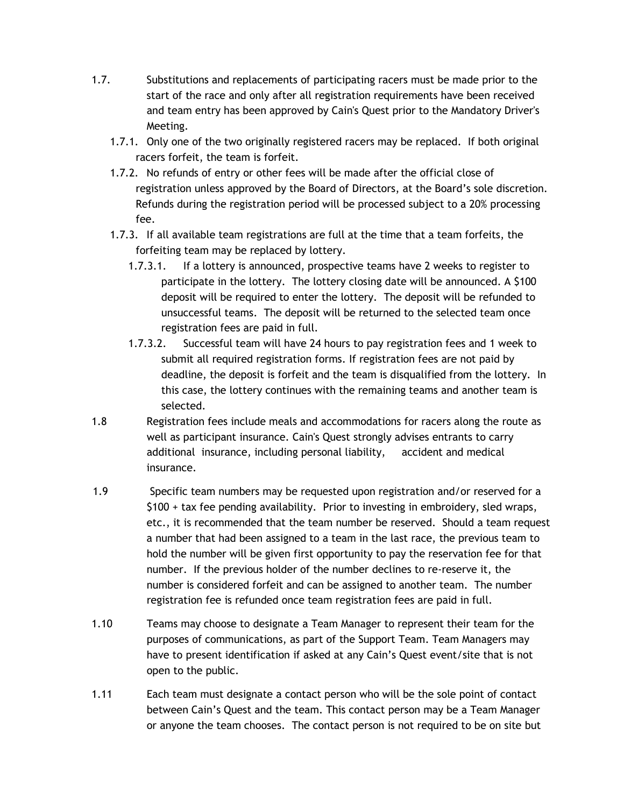- 1.7. Substitutions and replacements of participating racers must be made prior to the start of the race and only after all registration requirements have been received and team entry has been approved by Cain's Quest prior to the Mandatory Driver's Meeting.
	- 1.7.1. Only one of the two originally registered racers may be replaced. If both original racers forfeit, the team is forfeit.
	- 1.7.2. No refunds of entry or other fees will be made after the official close of registration unless approved by the Board of Directors, at the Board's sole discretion. Refunds during the registration period will be processed subject to a 20% processing fee.
	- 1.7.3. If all available team registrations are full at the time that a team forfeits, the forfeiting team may be replaced by lottery.
		- 1.7.3.1. If a lottery is announced, prospective teams have 2 weeks to register to participate in the lottery. The lottery closing date will be announced. A \$100 deposit will be required to enter the lottery. The deposit will be refunded to unsuccessful teams. The deposit will be returned to the selected team once registration fees are paid in full.
		- 1.7.3.2. Successful team will have 24 hours to pay registration fees and 1 week to submit all required registration forms. If registration fees are not paid by deadline, the deposit is forfeit and the team is disqualified from the lottery. In this case, the lottery continues with the remaining teams and another team is selected.
- 1.8 Registration fees include meals and accommodations for racers along the route as well as participant insurance. Cain's Quest strongly advises entrants to carry additional insurance, including personal liability, accident and medical insurance.
- 1.9 Specific team numbers may be requested upon registration and/or reserved for a \$100 + tax fee pending availability. Prior to investing in embroidery, sled wraps, etc., it is recommended that the team number be reserved. Should a team request a number that had been assigned to a team in the last race, the previous team to hold the number will be given first opportunity to pay the reservation fee for that number. If the previous holder of the number declines to re-reserve it, the number is considered forfeit and can be assigned to another team. The number registration fee is refunded once team registration fees are paid in full.
- 1.10 Teams may choose to designate a Team Manager to represent their team for the purposes of communications, as part of the Support Team. Team Managers may have to present identification if asked at any Cain's Quest event/site that is not open to the public.
- 1.11 Each team must designate a contact person who will be the sole point of contact between Cain's Quest and the team. This contact person may be a Team Manager or anyone the team chooses. The contact person is not required to be on site but